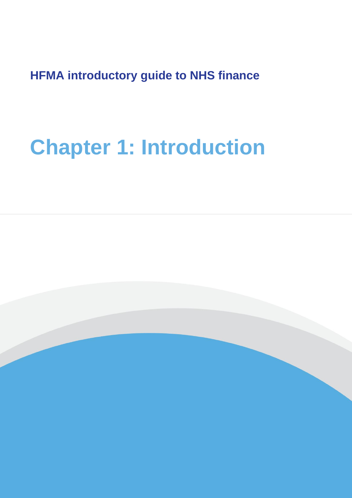**HFMA introductory guide to NHS finance**

## **Chapter 1: Introduction**

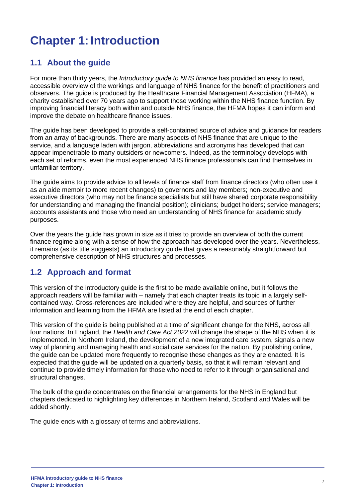## **Chapter 1: Introduction**

## **1.1 About the guide**

For more than thirty years, the *Introductory guide to NHS finance* has provided an easy to read, accessible overview of the workings and language of NHS finance for the benefit of practitioners and observers. The guide is produced by the Healthcare Financial Management Association (HFMA), a charity established over 70 years ago to support those working within the NHS finance function. By improving financial literacy both within and outside NHS finance, the HFMA hopes it can inform and improve the debate on healthcare finance issues.

The guide has been developed to provide a self-contained source of advice and guidance for readers from an array of backgrounds. There are many aspects of NHS finance that are unique to the service, and a language laden with jargon, abbreviations and acronyms has developed that can appear impenetrable to many outsiders or newcomers. Indeed, as the terminology develops with each set of reforms, even the most experienced NHS finance professionals can find themselves in unfamiliar territory.

The guide aims to provide advice to all levels of finance staff from finance directors (who often use it as an aide memoir to more recent changes) to governors and lay members; non-executive and executive directors (who may not be finance specialists but still have shared corporate responsibility for understanding and managing the financial position); clinicians; budget holders; service managers; accounts assistants and those who need an understanding of NHS finance for academic study purposes.

Over the years the guide has grown in size as it tries to provide an overview of both the current finance regime along with a sense of how the approach has developed over the years. Nevertheless, it remains (as its title suggests) an introductory guide that gives a reasonably straightforward but comprehensive description of NHS structures and processes.

## **1.2 Approach and format**

This version of the introductory guide is the first to be made available online, but it follows the approach readers will be familiar with – namely that each chapter treats its topic in a largely selfcontained way. Cross-references are included where they are helpful, and sources of further information and learning from the HFMA are listed at the end of each chapter.

This version of the guide is being published at a time of significant change for the NHS, across all four nations. In England, the *Health and Care Act 2022* will change the shape of the NHS when it is implemented. In Northern Ireland, the development of a new integrated care system, signals a new way of planning and managing health and social care services for the nation. By publishing online, the guide can be updated more frequently to recognise these changes as they are enacted. It is expected that the guide will be updated on a quarterly basis, so that it will remain relevant and continue to provide timely information for those who need to refer to it through organisational and structural changes.

The bulk of the guide concentrates on the financial arrangements for the NHS in England but chapters dedicated to highlighting key differences in Northern Ireland, Scotland and Wales will be added shortly.

The guide ends with a glossary of terms and abbreviations.